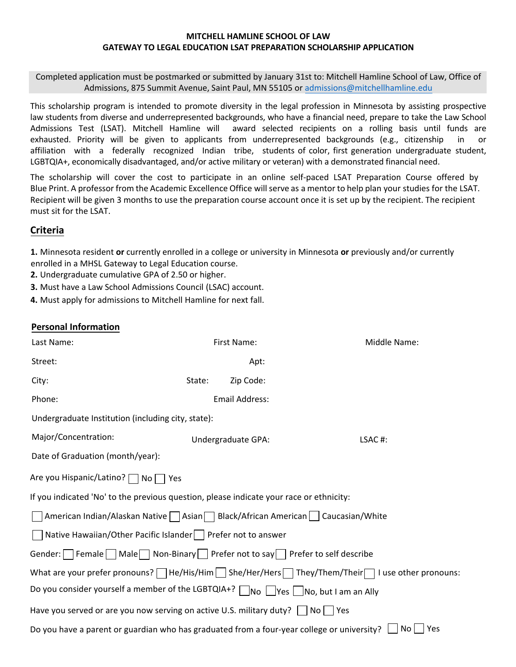Completed application must be postmarked or submitted by January 31st to: Mitchell Hamline School of Law, Office of Admissions, 875 Summit Avenue, Saint Paul, MN 55105 or admissions@mitchellhamline.edu

This scholarship program is intended to promote diversity in the legal profession in Minnesota by assisting prospective law students from diverse and underrepresented backgrounds, who have a financial need, prepare to take the Law School Admissions Test (LSAT). Mitchell Hamline will award selected recipients on a rolling basis until funds are exhausted. Priority will be given to applicants from underrepresented backgrounds (e.g., citizenship in or affiliation with a federally recognized Indian tribe, students of color, first generation undergraduate student, LGBTQIA+, economically disadvantaged, and/or active military or veteran) with a demonstrated financial need.

The scholarship will cover the cost to participate in an online self-paced LSAT Preparation Course offered by Blue Print. A professor from the Academic Excellence Office willserve as a mentor to help plan your studies for the LSAT. Recipient will be given 3 months to use the preparation course account once it is set up by the recipient. The recipient must sit for the LSAT.

## **Criteria**

**1.** Minnesota resident **or** currently enrolled in a college or university in Minnesota **or** previously and/or currently enrolled in a MHSL Gateway to Legal Education course.

**2.** Undergraduate cumulative GPA of 2.50 or higher.

**3.** Must have a Law School Admissions Council (LSAC) account.

**4.** Must apply for admissions to Mitchell Hamline for next fall.

### **Personal Information**

| Last Name:                                                                                                               |        | First Name:        | Middle Name: |  |  |
|--------------------------------------------------------------------------------------------------------------------------|--------|--------------------|--------------|--|--|
| Street:                                                                                                                  |        | Apt:               |              |  |  |
| City:                                                                                                                    | State: | Zip Code:          |              |  |  |
| Phone:                                                                                                                   |        | Email Address:     |              |  |  |
| Undergraduate Institution (including city, state):                                                                       |        |                    |              |  |  |
| Major/Concentration:                                                                                                     |        | Undergraduate GPA: | LSAC#:       |  |  |
| Date of Graduation (month/year):                                                                                         |        |                    |              |  |  |
| Are you Hispanic/Latino?   No   Yes                                                                                      |        |                    |              |  |  |
| If you indicated 'No' to the previous question, please indicate your race or ethnicity:                                  |        |                    |              |  |  |
| American Indian/Alaskan Native   Asian   Black/African American   Caucasian/White                                        |        |                    |              |  |  |
| Native Hawaiian/Other Pacific Islander     Prefer not to answer                                                          |        |                    |              |  |  |
| Gender: Female Male Non-Binary   Prefer not to say Prefer to self describe                                               |        |                    |              |  |  |
| What are your prefer pronouns? $\Box$ He/His/Him $\Box$ She/Her/Hers $\Box$ They/Them/Their $\Box$ I use other pronouns: |        |                    |              |  |  |
| Do you consider yourself a member of the LGBTQIA+? □No □Yes □No, but I am an Ally                                        |        |                    |              |  |  |
| Have you served or are you now serving on active U.S. military duty? $\Box$ No $\Box$ Yes                                |        |                    |              |  |  |
| No l<br>Yes<br>Do you have a parent or guardian who has graduated from a four-year college or university?                |        |                    |              |  |  |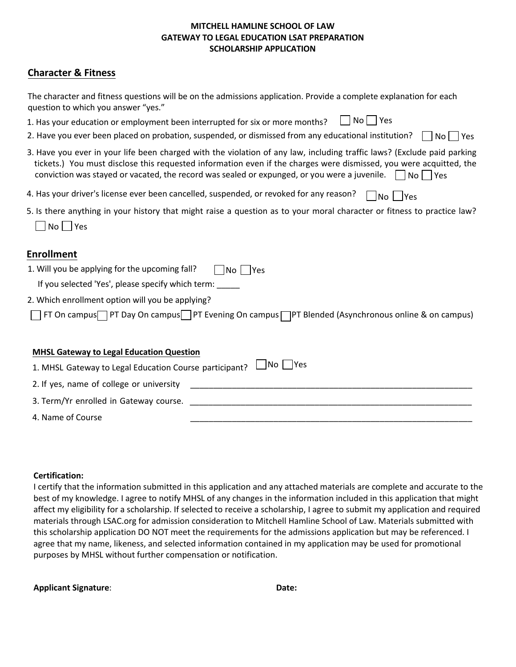## **Character & Fitness**

| The character and fitness questions will be on the admissions application. Provide a complete explanation for each<br>question to which you answer "yes."                                                                                                                                                                                                          |
|--------------------------------------------------------------------------------------------------------------------------------------------------------------------------------------------------------------------------------------------------------------------------------------------------------------------------------------------------------------------|
| No   Yes<br>1. Has your education or employment been interrupted for six or more months?                                                                                                                                                                                                                                                                           |
| 2. Have you ever been placed on probation, suspended, or dismissed from any educational institution?<br>No l<br>Yes                                                                                                                                                                                                                                                |
| 3. Have you ever in your life been charged with the violation of any law, including traffic laws? (Exclude paid parking<br>tickets.) You must disclose this requested information even if the charges were dismissed, you were acquitted, the<br>conviction was stayed or vacated, the record was sealed or expunged, or you were a juvenile. $\Box$ No $\Box$ Yes |
| 4. Has your driver's license ever been cancelled, suspended, or revoked for any reason?<br>   No    Yes                                                                                                                                                                                                                                                            |
| 5. Is there anything in your history that might raise a question as to your moral character or fitness to practice law?                                                                                                                                                                                                                                            |
| $No$   Yes                                                                                                                                                                                                                                                                                                                                                         |
| <b>Enrollment</b>                                                                                                                                                                                                                                                                                                                                                  |
| 1. Will you be applying for the upcoming fall?<br>$ No $   Yes                                                                                                                                                                                                                                                                                                     |
| If you selected 'Yes', please specify which term:                                                                                                                                                                                                                                                                                                                  |
| 2. Which enrollment option will you be applying?                                                                                                                                                                                                                                                                                                                   |
| FT On campus $\Box$ PT Day On campus $\Box$ PT Evening On campus $\Box$ PT Blended (Asynchronous online & on campus)                                                                                                                                                                                                                                               |
| <b>MHSL Gateway to Legal Education Question</b>                                                                                                                                                                                                                                                                                                                    |
| No    Yes<br>1. MHSL Gateway to Legal Education Course participant?                                                                                                                                                                                                                                                                                                |
| 2. If yes, name of college or university                                                                                                                                                                                                                                                                                                                           |
| 3. Term/Yr enrolled in Gateway course.                                                                                                                                                                                                                                                                                                                             |
| 4. Name of Course                                                                                                                                                                                                                                                                                                                                                  |

#### **Certification:**

I certify that the information submitted in this application and any attached materials are complete and accurate to the best of my knowledge. I agree to notify MHSL of any changes in the information included in this application that might affect my eligibility for a scholarship. If selected to receive a scholarship, I agree to submit my application and required materials through LSAC.org for admission consideration to Mitchell Hamline School of Law. Materials submitted with this scholarship application DO NOT meet the requirements for the admissions application but may be referenced. I agree that my name, likeness, and selected information contained in my application may be used for promotional purposes by MHSL without further compensation or notification.

| <b>Applicant Signature:</b> | Date: |
|-----------------------------|-------|
|                             |       |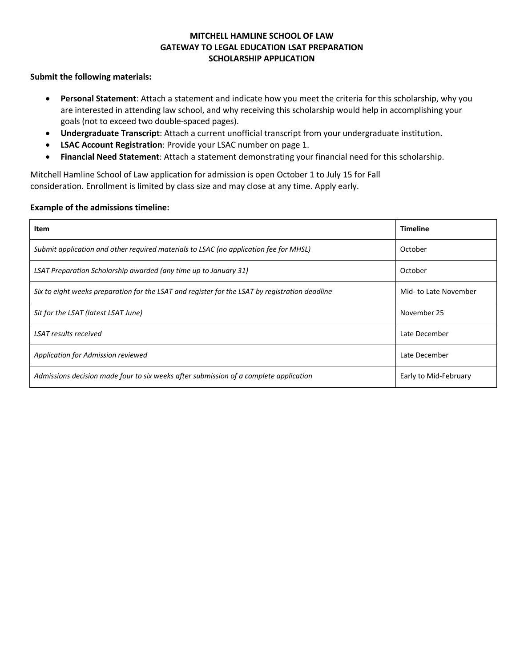#### **Submit the following materials:**

- **Personal Statement**: Attach a statement and indicate how you meet the criteria for this scholarship, why you are interested in attending law school, and why receiving this scholarship would help in accomplishing your goals (not to exceed two double-spaced pages).
- **Undergraduate Transcript**: Attach a current unofficial transcript from your undergraduate institution.
- **LSAC Account Registration**: Provide your LSAC number on page 1.
- **Financial Need Statement**: Attach a statement demonstrating your financial need for this scholarship.

Mitchell Hamline School of Law application for admission is open October 1 to July 15 for Fall consideration. Enrollment is limited by class size and may close at any time. Apply early.

#### **Example of the admissions timeline:**

| Item                                                                                           | <b>Timeline</b>       |
|------------------------------------------------------------------------------------------------|-----------------------|
| Submit application and other required materials to LSAC (no application fee for MHSL)          | October               |
| LSAT Preparation Scholarship awarded (any time up to January 31)                               | October               |
| Six to eight weeks preparation for the LSAT and register for the LSAT by registration deadline | Mid- to Late November |
| Sit for the LSAT (latest LSAT June)                                                            | November 25           |
| LSAT results received                                                                          | Late December         |
| Application for Admission reviewed                                                             | Late December         |
| Admissions decision made four to six weeks after submission of a complete application          | Early to Mid-February |